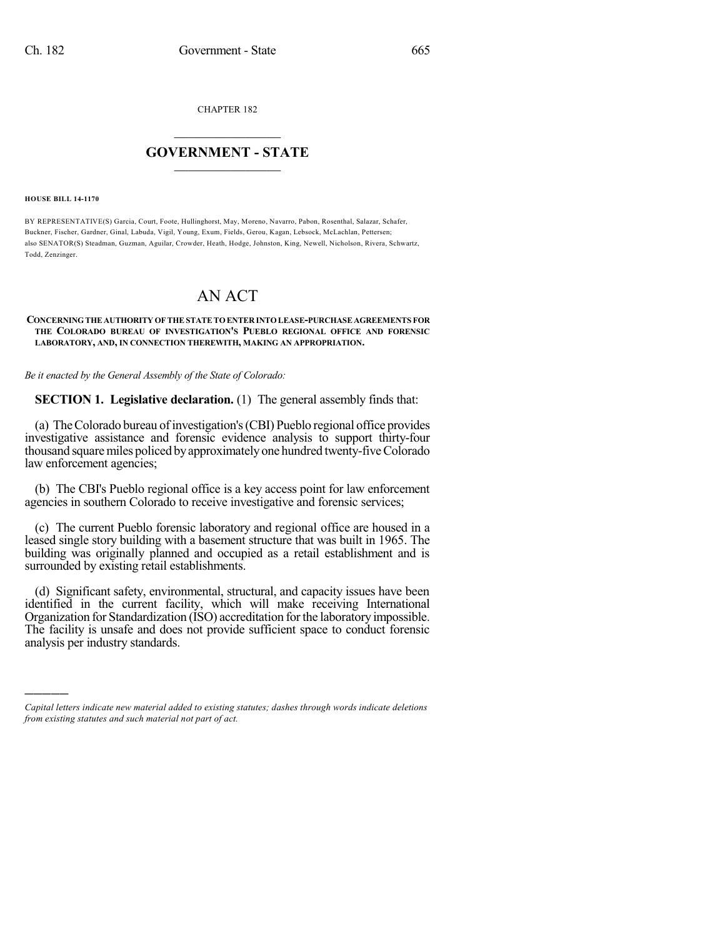CHAPTER 182

## $\overline{\phantom{a}}$  . The set of the set of the set of the set of the set of the set of the set of the set of the set of the set of the set of the set of the set of the set of the set of the set of the set of the set of the set o **GOVERNMENT - STATE**  $\_$

**HOUSE BILL 14-1170**

)))))

BY REPRESENTATIVE(S) Garcia, Court, Foote, Hullinghorst, May, Moreno, Navarro, Pabon, Rosenthal, Salazar, Schafer, Buckner, Fischer, Gardner, Ginal, Labuda, Vigil, Young, Exum, Fields, Gerou, Kagan, Lebsock, McLachlan, Pettersen; also SENATOR(S) Steadman, Guzman, Aguilar, Crowder, Heath, Hodge, Johnston, King, Newell, Nicholson, Rivera, Schwartz, Todd, Zenzinger.

## AN ACT

## **CONCERNINGTHE AUTHORITY OFTHESTATETOENTER INTOLEASE-PURCHASE AGREEMENTS FOR THE COLORADO BUREAU OF INVESTIGATION'S PUEBLO REGIONAL OFFICE AND FORENSIC LABORATORY, AND, IN CONNECTION THEREWITH, MAKING AN APPROPRIATION.**

*Be it enacted by the General Assembly of the State of Colorado:*

**SECTION 1. Legislative declaration.** (1) The general assembly finds that:

(a) TheColorado bureau ofinvestigation's(CBI) Pueblo regional office provides investigative assistance and forensic evidence analysis to support thirty-four thousand square miles policed by approximately one hundred twenty-five Colorado law enforcement agencies;

(b) The CBI's Pueblo regional office is a key access point for law enforcement agencies in southern Colorado to receive investigative and forensic services;

(c) The current Pueblo forensic laboratory and regional office are housed in a leased single story building with a basement structure that was built in 1965. The building was originally planned and occupied as a retail establishment and is surrounded by existing retail establishments.

(d) Significant safety, environmental, structural, and capacity issues have been identified in the current facility, which will make receiving International Organization for Standardization (ISO) accreditation forthe laboratory impossible. The facility is unsafe and does not provide sufficient space to conduct forensic analysis per industry standards.

*Capital letters indicate new material added to existing statutes; dashes through words indicate deletions from existing statutes and such material not part of act.*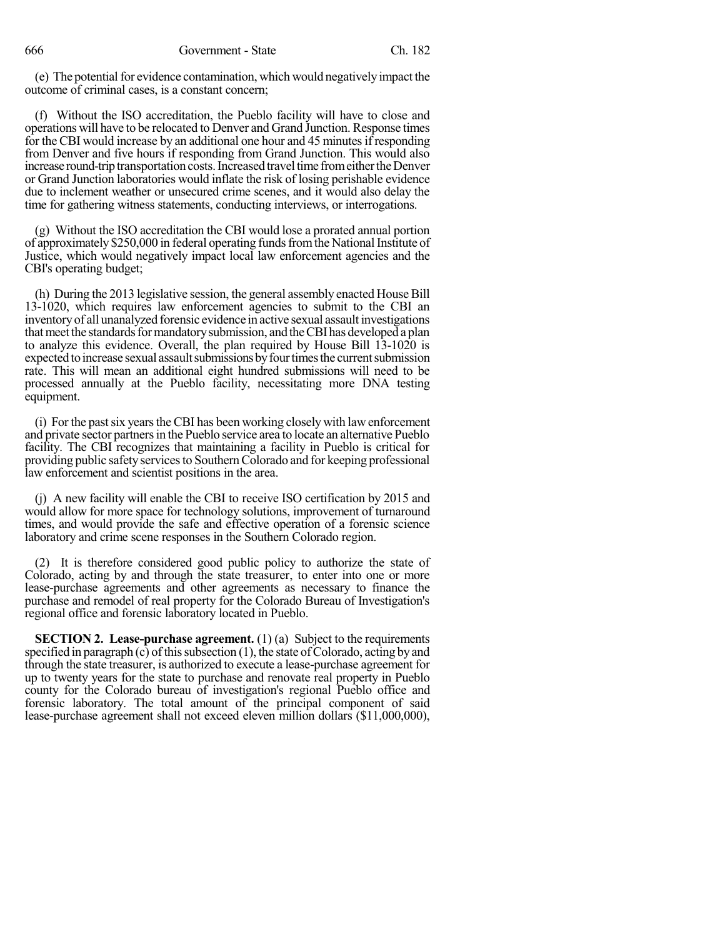(e) The potential for evidence contamination, which would negatively impact the outcome of criminal cases, is a constant concern;

(f) Without the ISO accreditation, the Pueblo facility will have to close and operations will have to be relocated to Denver and Grand Junction. Response times for the CBI would increase by an additional one hour and 45 minutes if responding from Denver and five hours if responding from Grand Junction. This would also increase round-trip transportation costs. Increased travel time from either the Denver or Grand Junction laboratories would inflate the risk of losing perishable evidence due to inclement weather or unsecured crime scenes, and it would also delay the time for gathering witness statements, conducting interviews, or interrogations.

(g) Without the ISO accreditation the CBI would lose a prorated annual portion of approximately \$250,000 in federal operating funds from the National Institute of Justice, which would negatively impact local law enforcement agencies and the CBI's operating budget;

(h) During the 2013 legislative session, the general assembly enacted House Bill 13-1020, which requires law enforcement agencies to submit to the CBI an inventoryof all unanalyzed forensic evidence in active sexual assault investigations that meet the standards for mandatory submission, and the CBI has developed a plan to analyze this evidence. Overall, the plan required by House Bill 13-1020 is expected to increase sexual assault submissions by four times the current submission rate. This will mean an additional eight hundred submissions will need to be processed annually at the Pueblo facility, necessitating more DNA testing equipment.

(i) For the past six years the CBI has been working closely with law enforcement and private sector partnersin the Pueblo service area to locate an alternative Pueblo facility. The CBI recognizes that maintaining a facility in Pueblo is critical for providing public safety services to Southern Colorado and for keeping professional law enforcement and scientist positions in the area.

(j) A new facility will enable the CBI to receive ISO certification by 2015 and would allow for more space for technology solutions, improvement of turnaround times, and would provide the safe and effective operation of a forensic science laboratory and crime scene responses in the Southern Colorado region.

(2) It is therefore considered good public policy to authorize the state of Colorado, acting by and through the state treasurer, to enter into one or more lease-purchase agreements and other agreements as necessary to finance the purchase and remodel of real property for the Colorado Bureau of Investigation's regional office and forensic laboratory located in Pueblo.

**SECTION 2. Lease-purchase agreement.** (1) (a) Subject to the requirements specified in paragraph (c) of this subsection  $(1)$ , the state of Colorado, acting by and through the state treasurer, is authorized to execute a lease-purchase agreement for up to twenty years for the state to purchase and renovate real property in Pueblo county for the Colorado bureau of investigation's regional Pueblo office and forensic laboratory. The total amount of the principal component of said lease-purchase agreement shall not exceed eleven million dollars (\$11,000,000),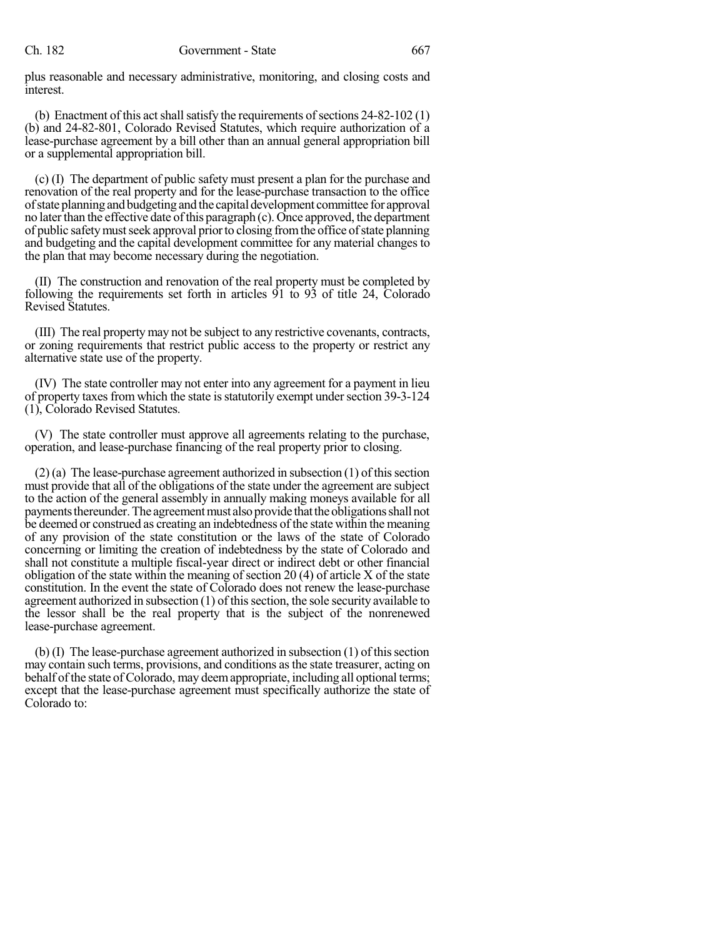plus reasonable and necessary administrative, monitoring, and closing costs and interest.

(b) Enactment of this act shall satisfy the requirements of sections  $24-82-102(1)$ (b) and 24-82-801, Colorado Revised Statutes, which require authorization of a lease-purchase agreement by a bill other than an annual general appropriation bill or a supplemental appropriation bill.

(c) (I) The department of public safety must present a plan for the purchase and renovation of the real property and for the lease-purchase transaction to the office of state planning and budgeting and the capital development committee for approval no later than the effective date of this paragraph (c). Once approved, the department of public safetymustseek approval priorto closing fromthe office ofstate planning and budgeting and the capital development committee for any material changes to the plan that may become necessary during the negotiation.

(II) The construction and renovation of the real property must be completed by following the requirements set forth in articles 91 to 93 of title 24, Colorado Revised Statutes.

(III) The real property may not be subject to any restrictive covenants, contracts, or zoning requirements that restrict public access to the property or restrict any alternative state use of the property.

(IV) The state controller may not enter into any agreement for a payment in lieu of property taxes from which the state is statutorily exempt under section 39-3-124 (1), Colorado Revised Statutes.

(V) The state controller must approve all agreements relating to the purchase, operation, and lease-purchase financing of the real property prior to closing.

 $(2)$  (a) The lease-purchase agreement authorized in subsection  $(1)$  of this section must provide that all of the obligations of the state under the agreement are subject to the action of the general assembly in annually making moneys available for all payments thereunder. The agreement must also provide that the obligations shall not be deemed or construed as creating an indebtedness of the state within the meaning of any provision of the state constitution or the laws of the state of Colorado concerning or limiting the creation of indebtedness by the state of Colorado and shall not constitute a multiple fiscal-year direct or indirect debt or other financial obligation of the state within the meaning of section 20 (4) of article X of the state constitution. In the event the state of Colorado does not renew the lease-purchase agreement authorized in subsection (1) of thissection, the sole security available to the lessor shall be the real property that is the subject of the nonrenewed lease-purchase agreement.

(b) (I) The lease-purchase agreement authorized in subsection (1) of thissection may contain such terms, provisions, and conditions asthe state treasurer, acting on behalf of the state of Colorado, may deem appropriate, including all optional terms; except that the lease-purchase agreement must specifically authorize the state of Colorado to: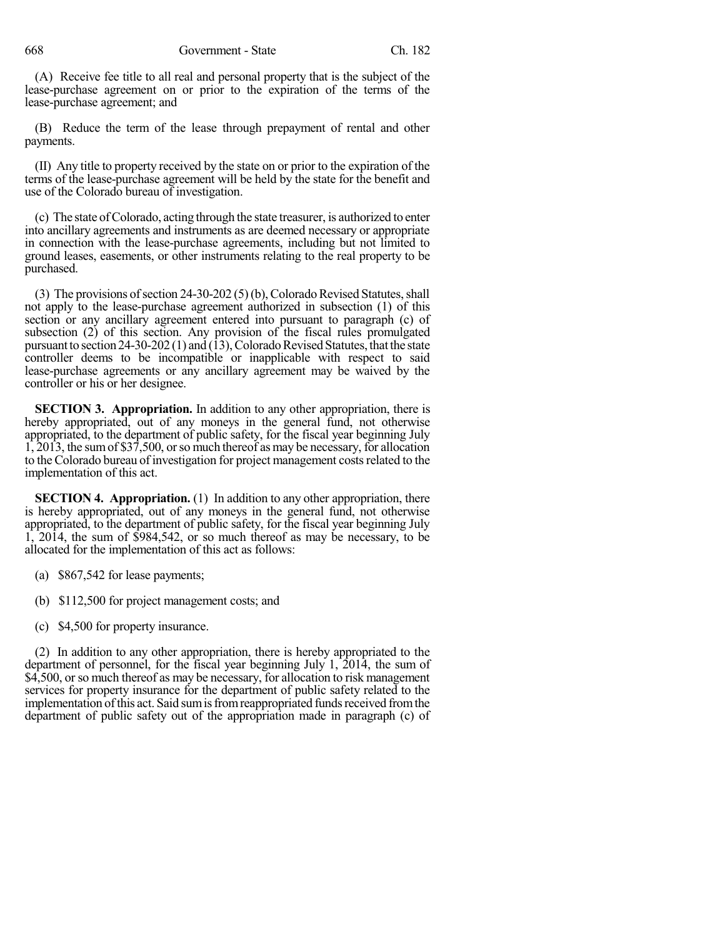(A) Receive fee title to all real and personal property that is the subject of the lease-purchase agreement on or prior to the expiration of the terms of the lease-purchase agreement; and

(B) Reduce the term of the lease through prepayment of rental and other payments.

(II) Any title to property received by the state on or prior to the expiration of the terms of the lease-purchase agreement will be held by the state for the benefit and use of the Colorado bureau of investigation.

(c) The state ofColorado, acting through the state treasurer, is authorized to enter into ancillary agreements and instruments as are deemed necessary or appropriate in connection with the lease-purchase agreements, including but not limited to ground leases, easements, or other instruments relating to the real property to be purchased.

(3) The provisions of section  $24-30-202$  (5)(b), Colorado Revised Statutes, shall not apply to the lease-purchase agreement authorized in subsection (1) of this section or any ancillary agreement entered into pursuant to paragraph (c) of subsection (2) of this section. Any provision of the fiscal rules promulgated pursuant to section  $24-30-202(1)$  and  $(13)$ , Colorado Revised Statutes, that the state controller deems to be incompatible or inapplicable with respect to said lease-purchase agreements or any ancillary agreement may be waived by the controller or his or her designee.

**SECTION 3. Appropriation.** In addition to any other appropriation, there is hereby appropriated, out of any moneys in the general fund, not otherwise appropriated, to the department of public safety, for the fiscal year beginning July 1, 2013, the sumof \$37,500, orso much thereof as may be necessary, for allocation to the Colorado bureau of investigation for project management costsrelated to the implementation of this act.

**SECTION 4. Appropriation.** (1) In addition to any other appropriation, there is hereby appropriated, out of any moneys in the general fund, not otherwise appropriated, to the department of public safety, for the fiscal year beginning July 1, 2014, the sum of \$984,542, or so much thereof as may be necessary, to be allocated for the implementation of this act as follows:

- (a) \$867,542 for lease payments;
- (b) \$112,500 for project management costs; and
- (c) \$4,500 for property insurance.

(2) In addition to any other appropriation, there is hereby appropriated to the department of personnel, for the fiscal year beginning July 1, 2014, the sum of \$4,500, or so much thereof as may be necessary, for allocation to risk management services for property insurance for the department of public safety related to the implementation of this act. Said sum is from reappropriated funds received from the department of public safety out of the appropriation made in paragraph (c) of